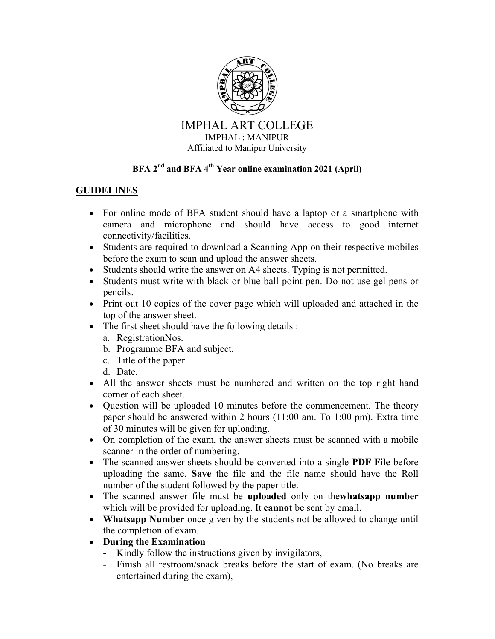

## IMPHAL ART COLLEGE IMPHAL : MANIPUR Affiliated to Manipur University

## **BFA 2nd and BFA 4th Year online examination 2021 (April)**

## **GUIDELINES**

- For online mode of BFA student should have a laptop or a smartphone with camera and microphone and should have access to good internet connectivity/facilities.
- Students are required to download a Scanning App on their respective mobiles before the exam to scan and upload the answer sheets.
- Students should write the answer on A4 sheets. Typing is not permitted.
- Students must write with black or blue ball point pen. Do not use gel pens or pencils.
- Print out 10 copies of the cover page which will uploaded and attached in the top of the answer sheet.
- The first sheet should have the following details :
	- a. RegistrationNos.
	- b. Programme BFA and subject.
	- c. Title of the paper
	- d. Date.
- All the answer sheets must be numbered and written on the top right hand corner of each sheet.
- Question will be uploaded 10 minutes before the commencement. The theory paper should be answered within 2 hours (11:00 am. To 1:00 pm). Extra time of 30 minutes will be given for uploading.
- On completion of the exam, the answer sheets must be scanned with a mobile scanner in the order of numbering.
- The scanned answer sheets should be converted into a single **PDF File** before uploading the same. **Save** the file and the file name should have the Roll number of the student followed by the paper title.
- The scanned answer file must be **uploaded** only on the**whatsapp number**  which will be provided for uploading. It **cannot** be sent by email.
- **Whatsapp Number** once given by the students not be allowed to change until the completion of exam.
- **During the Examination** 
	- Kindly follow the instructions given by invigilators,
	- Finish all restroom/snack breaks before the start of exam. (No breaks are entertained during the exam),